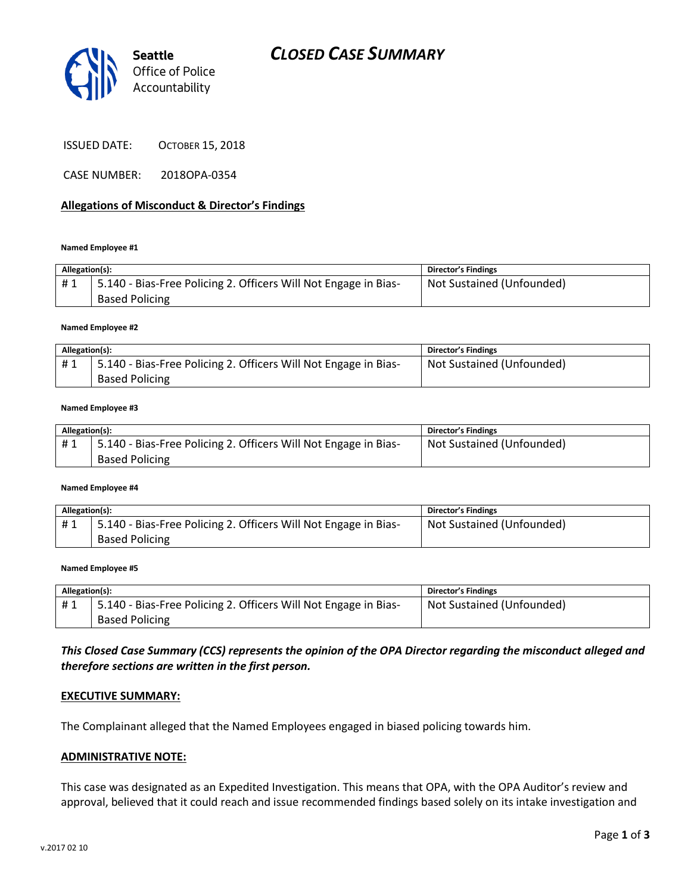



ISSUED DATE: OCTOBER 15, 2018

CASE NUMBER: 2018OPA-0354

## **Allegations of Misconduct & Director's Findings**

### **Named Employee #1**

| Allegation(s): |                                                                                          | <b>Director's Findings</b> |
|----------------|------------------------------------------------------------------------------------------|----------------------------|
| #1             | 5.140 - Bias-Free Policing 2. Officers Will Not Engage in Bias-<br><b>Based Policing</b> | Not Sustained (Unfounded)  |

### **Named Employee #2**

| Allegation(s): |                                                                 | Director's Findings       |
|----------------|-----------------------------------------------------------------|---------------------------|
| #1             | 5.140 - Bias-Free Policing 2. Officers Will Not Engage in Bias- | Not Sustained (Unfounded) |
|                | <b>Based Policing</b>                                           |                           |

### **Named Employee #3**

| Allegation(s): |                                                                 | <b>Director's Findings</b> |
|----------------|-----------------------------------------------------------------|----------------------------|
| #1             | 5.140 - Bias-Free Policing 2. Officers Will Not Engage in Bias- | Not Sustained (Unfounded)  |
|                | <b>Based Policing</b>                                           |                            |

#### **Named Employee #4**

| Allegation(s): |                                                                   | Director's Findings       |
|----------------|-------------------------------------------------------------------|---------------------------|
| #1             | 1 5.140 - Bias-Free Policing 2. Officers Will Not Engage in Bias- | Not Sustained (Unfounded) |
|                | <b>Based Policing</b>                                             |                           |

### **Named Employee #5**

| Allegation(s): |                                                                              | <b>Director's Findings</b> |
|----------------|------------------------------------------------------------------------------|----------------------------|
|                | <sup>1</sup> 5.140 - Bias-Free Policing 2. Officers Will Not Engage in Bias- | Not Sustained (Unfounded)  |
|                | <b>Based Policing</b>                                                        |                            |

## *This Closed Case Summary (CCS) represents the opinion of the OPA Director regarding the misconduct alleged and therefore sections are written in the first person.*

### **EXECUTIVE SUMMARY:**

The Complainant alleged that the Named Employees engaged in biased policing towards him.

### **ADMINISTRATIVE NOTE:**

This case was designated as an Expedited Investigation. This means that OPA, with the OPA Auditor's review and approval, believed that it could reach and issue recommended findings based solely on its intake investigation and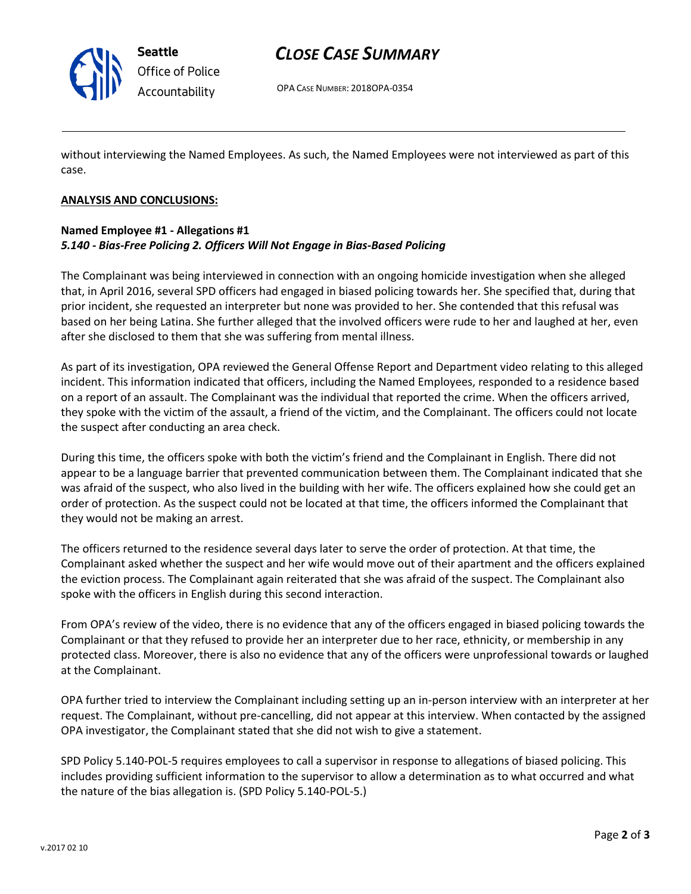

# *CLOSE CASE SUMMARY*

OPA CASE NUMBER: 2018OPA-0354

without interviewing the Named Employees. As such, the Named Employees were not interviewed as part of this case.

## **ANALYSIS AND CONCLUSIONS:**

# **Named Employee #1 - Allegations #1** *5.140 - Bias-Free Policing 2. Officers Will Not Engage in Bias-Based Policing*

The Complainant was being interviewed in connection with an ongoing homicide investigation when she alleged that, in April 2016, several SPD officers had engaged in biased policing towards her. She specified that, during that prior incident, she requested an interpreter but none was provided to her. She contended that this refusal was based on her being Latina. She further alleged that the involved officers were rude to her and laughed at her, even after she disclosed to them that she was suffering from mental illness.

As part of its investigation, OPA reviewed the General Offense Report and Department video relating to this alleged incident. This information indicated that officers, including the Named Employees, responded to a residence based on a report of an assault. The Complainant was the individual that reported the crime. When the officers arrived, they spoke with the victim of the assault, a friend of the victim, and the Complainant. The officers could not locate the suspect after conducting an area check.

During this time, the officers spoke with both the victim's friend and the Complainant in English. There did not appear to be a language barrier that prevented communication between them. The Complainant indicated that she was afraid of the suspect, who also lived in the building with her wife. The officers explained how she could get an order of protection. As the suspect could not be located at that time, the officers informed the Complainant that they would not be making an arrest.

The officers returned to the residence several days later to serve the order of protection. At that time, the Complainant asked whether the suspect and her wife would move out of their apartment and the officers explained the eviction process. The Complainant again reiterated that she was afraid of the suspect. The Complainant also spoke with the officers in English during this second interaction.

From OPA's review of the video, there is no evidence that any of the officers engaged in biased policing towards the Complainant or that they refused to provide her an interpreter due to her race, ethnicity, or membership in any protected class. Moreover, there is also no evidence that any of the officers were unprofessional towards or laughed at the Complainant.

OPA further tried to interview the Complainant including setting up an in-person interview with an interpreter at her request. The Complainant, without pre-cancelling, did not appear at this interview. When contacted by the assigned OPA investigator, the Complainant stated that she did not wish to give a statement.

SPD Policy 5.140-POL-5 requires employees to call a supervisor in response to allegations of biased policing. This includes providing sufficient information to the supervisor to allow a determination as to what occurred and what the nature of the bias allegation is. (SPD Policy 5.140-POL-5.)